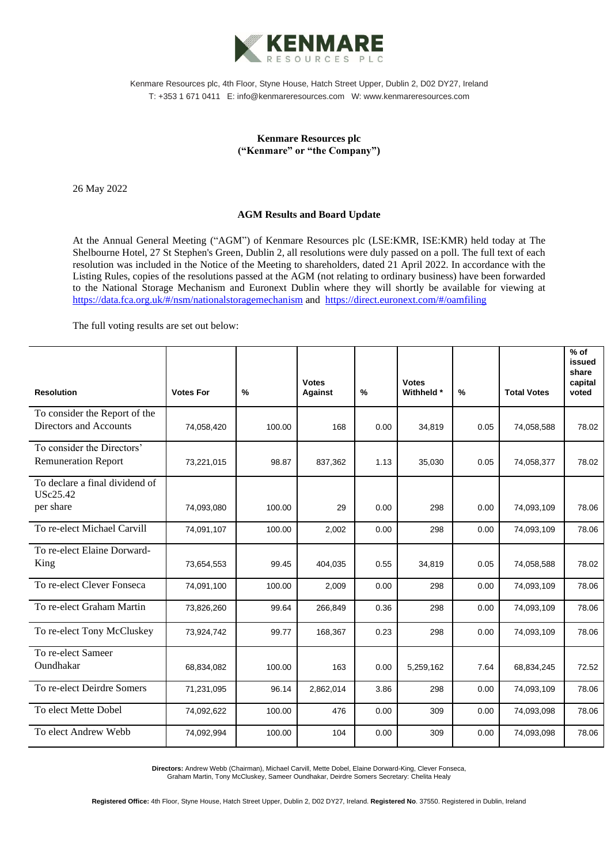

Kenmare Resources plc, 4th Floor, Styne House, Hatch Street Upper, Dublin 2, D02 DY27, Ireland T: +353 1 671 0411 E: info@kenmareresources.com W: www.kenmareresources.com

## **Kenmare Resources plc ("Kenmare" or "the Company")**

26 May 2022

## **AGM Results and Board Update**

At the Annual General Meeting ("AGM") of Kenmare Resources plc (LSE:KMR, ISE:KMR) held today at The Shelbourne Hotel, 27 St Stephen's Green, Dublin 2, all resolutions were duly passed on a poll. The full text of each resolution was included in the Notice of the Meeting to shareholders, dated 21 April 2022. In accordance with the Listing Rules, copies of the resolutions passed at the AGM (not relating to ordinary business) have been forwarded to the National Storage Mechanism and Euronext Dublin where they will shortly be available for viewing at <https://data.fca.org.uk/#/nsm/nationalstoragemechanism> and <https://direct.euronext.com/#/oamfiling>

The full voting results are set out below:

| <b>Resolution</b>                                 | <b>Votes For</b> | $\%$   | <b>Votes</b><br><b>Against</b> | $\frac{0}{0}$ | <b>Votes</b><br>Withheld * | $\frac{9}{6}$ | <b>Total Votes</b> | $%$ of<br>issued<br>share<br>capital<br>voted |
|---------------------------------------------------|------------------|--------|--------------------------------|---------------|----------------------------|---------------|--------------------|-----------------------------------------------|
| To consider the Report of the                     |                  |        |                                |               |                            |               |                    |                                               |
| Directors and Accounts                            | 74,058,420       | 100.00 | 168                            | 0.00          | 34,819                     | 0.05          | 74,058,588         | 78.02                                         |
| To consider the Directors'                        |                  |        |                                |               |                            |               |                    |                                               |
| <b>Remuneration Report</b>                        | 73,221,015       | 98.87  | 837,362                        | 1.13          | 35,030                     | 0.05          | 74,058,377         | 78.02                                         |
| To declare a final dividend of<br><b>USc25.42</b> |                  |        |                                |               |                            |               |                    |                                               |
| per share                                         | 74,093,080       | 100.00 | 29                             | 0.00          | 298                        | 0.00          | 74,093,109         | 78.06                                         |
| To re-elect Michael Carvill                       | 74,091,107       | 100.00 | 2,002                          | 0.00          | 298                        | 0.00          | 74,093,109         | 78.06                                         |
| To re-elect Elaine Dorward-                       |                  |        |                                |               |                            |               |                    |                                               |
| King                                              | 73,654,553       | 99.45  | 404,035                        | 0.55          | 34,819                     | 0.05          | 74,058,588         | 78.02                                         |
| To re-elect Clever Fonseca                        | 74,091,100       | 100.00 | 2,009                          | 0.00          | 298                        | 0.00          | 74,093,109         | 78.06                                         |
| To re-elect Graham Martin                         | 73,826,260       | 99.64  | 266,849                        | 0.36          | 298                        | 0.00          | 74,093,109         | 78.06                                         |
| To re-elect Tony McCluskey                        | 73,924,742       | 99.77  | 168,367                        | 0.23          | 298                        | 0.00          | 74,093,109         | 78.06                                         |
| To re-elect Sameer                                |                  |        |                                |               |                            |               |                    |                                               |
| Oundhakar                                         | 68,834,082       | 100.00 | 163                            | 0.00          | 5,259,162                  | 7.64          | 68,834,245         | 72.52                                         |
| To re-elect Deirdre Somers                        | 71,231,095       | 96.14  | 2,862,014                      | 3.86          | 298                        | 0.00          | 74,093,109         | 78.06                                         |
| To elect Mette Dobel                              | 74,092,622       | 100.00 | 476                            | 0.00          | 309                        | 0.00          | 74,093,098         | 78.06                                         |
| To elect Andrew Webb                              | 74,092,994       | 100.00 | 104                            | 0.00          | 309                        | 0.00          | 74,093,098         | 78.06                                         |

**Directors:** Andrew Webb (Chairman), Michael Carvill, Mette Dobel, Elaine Dorward-King, Clever Fonseca, Graham Martin, Tony McCluskey, Sameer Oundhakar, Deirdre Somers Secretary: Chelita Healy

**Registered Office:** 4th Floor, Styne House, Hatch Street Upper, Dublin 2, D02 DY27, Ireland. **Registered No**. 37550. Registered in Dublin, Ireland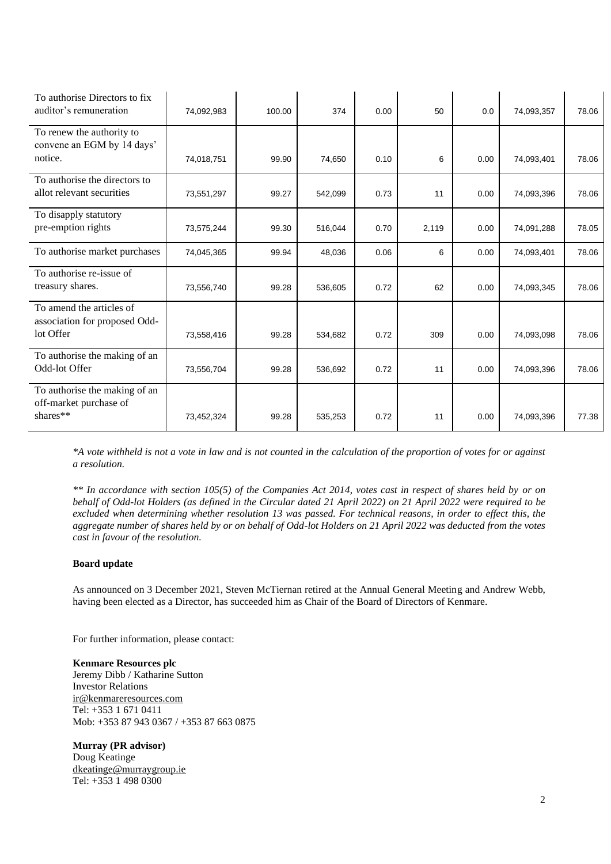| To authorise Directors to fix<br>auditor's remuneration                | 74,092,983 | 100.00 | 374     | 0.00 | 50    | 0.0  | 74,093,357 | 78.06 |
|------------------------------------------------------------------------|------------|--------|---------|------|-------|------|------------|-------|
| To renew the authority to<br>convene an EGM by 14 days'<br>notice.     | 74,018,751 | 99.90  | 74,650  | 0.10 | 6     | 0.00 | 74,093,401 | 78.06 |
| To authorise the directors to<br>allot relevant securities             | 73,551,297 | 99.27  | 542,099 | 0.73 | 11    | 0.00 | 74,093,396 | 78.06 |
| To disapply statutory<br>pre-emption rights                            | 73,575,244 | 99.30  | 516,044 | 0.70 | 2,119 | 0.00 | 74,091,288 | 78.05 |
| To authorise market purchases                                          | 74,045,365 | 99.94  | 48,036  | 0.06 | 6     | 0.00 | 74,093,401 | 78.06 |
| To authorise re-issue of<br>treasury shares.                           | 73,556,740 | 99.28  | 536,605 | 0.72 | 62    | 0.00 | 74,093,345 | 78.06 |
| To amend the articles of<br>association for proposed Odd-<br>lot Offer | 73,558,416 | 99.28  | 534,682 | 0.72 | 309   | 0.00 | 74,093,098 | 78.06 |
| To authorise the making of an<br>Odd-lot Offer                         | 73,556,704 | 99.28  | 536,692 | 0.72 | 11    | 0.00 | 74,093,396 | 78.06 |
| To authorise the making of an<br>off-market purchase of<br>shares**    | 73,452,324 | 99.28  | 535,253 | 0.72 | 11    | 0.00 | 74,093,396 | 77.38 |

*\*A vote withheld is not a vote in law and is not counted in the calculation of the proportion of votes for or against a resolution.*

*\*\* In accordance with section 105(5) of the Companies Act 2014, votes cast in respect of shares held by or on behalf of Odd-lot Holders (as defined in the Circular dated 21 April 2022) on 21 April 2022 were required to be excluded when determining whether resolution 13 was passed. For technical reasons, in order to effect this, the aggregate number of shares held by or on behalf of Odd-lot Holders on 21 April 2022 was deducted from the votes cast in favour of the resolution.*

## **Board update**

As announced on 3 December 2021, Steven McTiernan retired at the Annual General Meeting and Andrew Webb, having been elected as a Director, has succeeded him as Chair of the Board of Directors of Kenmare.

For further information, please contact:

**Kenmare Resources plc** Jeremy Dibb / Katharine Sutton Investor Relations [ir@kenmareresources.com](https://www.globenewswire.com/Tracker?data=bSWAjX-9ib1R7ecAJVojR_JkzlM9Q112ZcpRd4wrL6tsMCSwdFkAeXb1MuD0xIMp64V3FTD6nUkKN3rL0-gxXUyL1efeduEAi9xfMRIbU40=) Tel: +353 1 671 0411 Mob: +353 87 943 0367 / +353 87 663 0875

**Murray (PR advisor)** Doug Keatinge [dkeatinge@murraygroup.ie](mailto:dkeatinge@murraygroup.ie) Tel: +353 1 498 0300